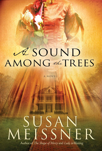# A SOUND AMONG the TREES

A NOVEL

SUSAN<br>FISSNER Author of The Shape of Mercy and Lady in Waiting

**TITULIDEN**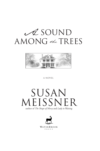## $\mathscr A$  SOUND AMONG the TREES



A Novel

### SUSAN MEISSNER author of *The Shape of Mercy* and *Lady in Waiting*

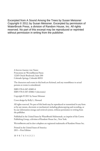Excerpted from A Sound Among the Trees by Susan Meissner.<br>
Excerpted by permission<br>
WaterBrook Press, a division of Random House, Inc. All rights<br>
reserved. No part of this excerpt may be reproduced or reprinte<br>
without p Copyright © 2011 by Susan Meissner. Excerpted by permission of WaterBrook Press, a division of Random House, Inc. All rights reserved. No part of this excerpt may be reproduced or reprinted without permission in writing from the publisher.

A Sound Among the Trees Published by WaterBrook Press 12265 Oracle Boulevard, Suite 200 Colorado Springs, Colorado 80921

The characters and events in this book are fictional, and any resemblance to actual persons or events is coincidental.

ISBN 978-0-307-45885-8 ISBN 978-0-307-45886-5 (electronic)

Copyright © 2011 by Susan Meissner

Cover design by Kelly L. Howard

All rights reserved. No part of this book may be reproduced or transmitted in any form or by any means, electronic or mechanical, including photocopying and recording, or by any information storage and retrieval system, without permission in writing from the publisher.

Published in the United States by WaterBrook Multnomah, an imprint of the Crown Publishing Group, a division of Random House Inc., New York.

WATERBROOK and its deer colophon are registered trademarks of Random House Inc.

Printed in the United States of America 2011—First Edition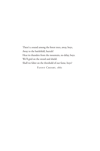There's a sound among the forest trees, away, boys, Away to the battlefield, hurrah! Hear its thunders from the mountain, no delay, boys. We'll gird on the sword and shield. Shall we falter on the threshold of our fame, boys?

FANNY CROSBY, 1861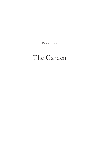PART ONE

### The Garden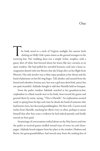#### One

The bride stood in a circle of Virginia sunlight, her narrow heels clicking on Holly Oak's patio stones as she greeted strangers in the receiving line. Her wedding dress was a simple A-line, strapless, with a gauzy skirt of white that breezed about her knees like lacy curtains at an open window. She had pulled her unveiled brunette curls into a loose arrangement dotted with tiny flowers that she'd kept alive on her flight from Phoenix. Her only jewelry was a white topaz pendant at her throat and the band of platinum on her left ring finger. Tall, slender, and tanned from the famed and relentless Arizona sun, hers was a girl-next-door-look: pretty but not quite beautiful. Adelaide thought it odd that Marielle held no bouquet.

From the parlor window Adelaide watched as her grandson-in-law, resplendent in a black tuxedo next to his bride, bent toward the guests and greeted them by name, saying, "This is Marielle." An explanation seemed ready to spring from his lips each time he shook the hand of someone who had known Sara, her deceased granddaughter. His first wife. Carson stood inches from Marielle, touching her elbow every so often, perhaps to assure himself that after four years a widower he had indeed patently and finally moved on from grief.

Smatterings of conversations wafted about on the May breeze and into the parlor as received guests strolled toward trays of sweet tea and champagne. Adelaide heard snippets from her place at the window. Hudson and Brette, her great-grandchildren, had moved away from the snaking line of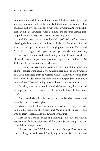gray suits and pastel dresses within minutes of the first guests' arrival and were now studying the flower-festooned gift table under the window ledge, touching the bows, fingering the silvery white wrappings. Above the children, an old oak's youngest branches shimmied to the tunes a string quartet produced from the gazebo beyond the receiving line.

Adelaide raised a teacup to her lips and sipped the last of its contents, allowing the lemony warmth to linger at the back of her throat. She had spent the better part of the morning readying the garden for Carson and Marielle's wedding reception, plucking spent geranium blossoms, ordering the catering staff about, and straightening the rented linen table cloths. She needed to join the party now that it had begun. The Blue-Haired Old Ladies would be wondering where she was.

Her friends had been the first to arrive, coming through the garden gate on the south side of the house at five minutes before the hour. She'd watched as Carson introduced them to Marielle, witnessed how they cocked their necks in blue-headed unison to sweetly scrutinize her grandson-in-law's new wife, and heard their welcoming remarks through the open window.

Deloris gushed about how lovely Marielle's wedding dress was and what, pray tell, was the name of that divine purple flower she had in her hair?

Pearl invited Marielle to her bridge club next Tuesday afternoon and asked her if she believed in ghosts.

Maxine asked her how Carson and she had met—though Adelaide had told her weeks ago that Carson met Marielle on the Internet—and why on earth Arizona didn't like daylight-saving time.

Marielle had smiled, sweet and knowing—like the kindergarten teacher who finds the bluntness of five-year-olds endearing—and answered the many questions.

Mojave asters. She didn't know how to play bridge. She'd never encountered a ghost so she couldn't really say but most likely not. She and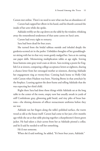Carson met online. There's no need to save what one has an abundance of.

Carson had cupped her elbow in his hand, and his thumb caressed the inside of her arm while she spoke.

Adelaide swiftly set the cup down on the table by the window, whisking away the remembered tenderness of that same caress on Sara's arm.

Carson had every right to remarry.

Sara had been dead for four years.

She turned from the bridal tableau outside and inhaled deeply the gardenia-scented air in the parlor. Unbidden thoughts of her granddaughter sitting with her in that very room gently nudged her. Sara at six cutting out paper dolls. Memorizing multiplication tables at age eight. Sewing brass buttons onto gray wool coats at eleven. Sara reciting a poem for English Lit at sixteen, comparing college acceptance letters at eighteen, sharing a chance letter from her estranged mother at nineteen, showing Adelaide her engagement ring at twenty-four. Coming back home to Holly Oak with Carson when Hudson was born. Nursing Brette in that armchair by the fireplace. Leaning against the door frame and telling Adelaide that she was expecting her third child.

Right there Sara had done those things while Adelaide sat at the long table in the center of the room, empty now but usually awash in yards of stiff Confederate gray, glistening gold braid, and tiny piles of brass buttons—the shining elements of officer reenactment uniforms before they see war.

Adelaide ran her fingers along the table's polished surface, the warm wood as old as the house itself. Carson had come to her just a few months ago while she sat at that table piecing together a sharpshooter's forest green jacket. He had taken a chair across from her as Adelaide pinned a collar, and he'd said he needed to tell her something.

He'd met someone.

When she'd said nothing, he added, "It's been four years, Adelaide."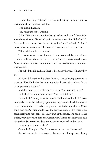"I know how long it's been." The pins made a tiny plucking sound as their pointed ends pricked the fabric.

"She lives in Phoenix."

"You've never been to Phoenix."

"Mimi." He said the name Sara had given her gently, as a father might. A tender reprimand. He waited until she looked up at him. "I don't think Sara would want me to live the rest of my life alone. I really don't. And I don't think she would want Hudson and Brette not to have a mother."

"Those children have a mother."

"You know what I mean. They need to be mothered. I'm gone all day at work. I only have the weekends with them. And you won't always be here. You're a wonderful great-grandmother, but they need someone to mother them, Mimi."

She pulled the pin cushion closer to her and swallowed. "I know they do."

He leaned forward in his chair. "And I…I miss having someone to share my life with. I miss the companionship. I miss being in love. I miss having someone love me."

Adelaide smoothed the pieces of the collar. "So. You are in love?"

He had taken a moment to answer. "Yes. I think I am."

Carson hadn't brought anyone home to the house, and he hadn't been on any dates. But he had lately spent many nights after the children were in bed in his study—the old drawing room—with the door closed. When she'd pass by, Adelaide would hear the low bass notes of his voice as he spoke softly into his phone. She knew that gentle sound. She had heard it before, years ago when Sara and Carson would sit in the study and talk about their day. His voice, deep and resonant. Hers, soft and melodic.

"Are you going to marry her?"

Carson had laughed. "Don't you even want to know her name?" She had not cared at that moment about a name. The specter of being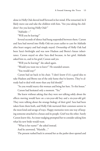alone in Holly Oak shoved itself forward in her mind. If he remarried, he'd likely move out and take the children with him. "Are you taking the children? Are you leaving Holly Oak?"

"Adelaide—"

"Will you be leaving?"

Several seconds of silence had hung suspended between them. Carson and Sara had moved into Holly Oak ten years earlier to care for Adelaide after heart surgery and had simply stayed. Ownership of Holly Oak had been Sara's birthright and was now Hudson and Brette's future inheritance. Carson stayed on after Sara died because, in her grief, Adelaide asked him to, and in his grief, Carson said yes.

"Will you be leaving?" she asked again.

"Would you want me to leave?" He sounded unsure.

"You would stay?"

Carson had sat back in his chair. "I don't know if it's a good idea to take Hudson and Brette out of the only home they've known. They've already had to deal with more than any kid should."

"So you would marry this woman and bring her here. To this house." Carson had hesitated only a moment. "Yes."

She knew without asking that they were not talking solely about the effects moving would have on a ten-year-old boy and a six-year-old girl. They were talking about the strange biology of their grief. Sara had been taken from them both, and Holly Oak nurtured their common sorrow in the most kind and savage of ways. Happy memories were one way of keeping someone attached to a house and its people. Grief was the other. Surely Carson knew this. An inner nudging prompted her to consider asking him what his new bride would want.

"What is her name?" she asked instead.

And he answered, "Marielle…"

The present rushed back in around her as the parlor door opened and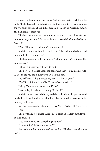a boy stood in the doorway, eyes wide. Adelaide took a step back from the table. She had seen this child arrive earlier that day with his parents when she was still puttering about in the garden. Members of Marielle's family. She had not met them yet.

The boy wore a black button-down vest and a scarlet bow tie that pointed to eight o'clock. Most of his hair had been slicked into obedience. Most of it.

"Wait. This isn't a bathroom," he announced.

Adelaide composed herself. "No. It is not. The bathroom is the second door on the left. Not the first."

The boy looked over his shoulder. "I think someone's in there. The door's closed."

"Then I suppose you will have to wait."

The boy cast a glance about the parlor and then looked back at Adelaide. "So are you the old lady who lives in this house?"

She stiffened. "This is indeed my house. Who are you?"

"I'm Kirby. I live in Santa Fe. That's in New Mexico."

"Kirby. Your parents named you Kirby."

"Not curb-y like the street. Kirby. With a K."

Adelaide moved toward the boy and the parlor door. She put her hand on the handle as if to close it behind her. But he stood unmoving in the doorway, oblivious.

"So this house was here before the Civil War? It's that old?" he asked. "Yes."

The boy took a step inside the room. "There's an old lady outside who says it's haunted."

"You shouldn't believe everything you hear."

"I don't. I don't believe in that stuff."

She made another attempt to close the door. The boy seemed not to notice.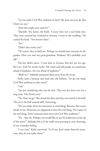"So you make Civil War uniforms in here? My aunt says you do. But I don't see any."

"And who might your aunt be?"

"Marielle. You know, the bride. 'Course she's not a real bride now. They were married last weekend in Arizona. I went to the wedding." He cocked his head. "You weren't there."

" $N_0$ "

"Didn't they invite you?"

"Of course, they invited me. Perhaps we should join everyone in the garden. Have you met my great-grandson, Hudson? He's probably your age."

The boy didn't move. "I met him in Arizona. But he's not my age. He's ten. And I'm nearly twelve. My mom said old people are sometimes afraid of airplanes. Are you afraid of airplanes?"

"Shall we?" Adelaide motioned them away from the room.

Kirby took a hesitant step back into the hallway. "So do you make Civil War uniforms in that room?"

"I do."

"I'm just wondering why you do that. That war has been over for a long time. The North won."

"Yes. Here we go." She closed the door and they now stood in the hall. The air in the hall seemed stiff. Unmoving.

"Do you make them for museums or something? Because that seems dumb to me. Museums are supposed to have the real thing. Not copies of the real thing. Don't museums here have real Civil War uniforms?"

"Yes…they do. Perhaps you would like to use the bathroom at the top of the stairs?" Adelaide felt as if the walls were pressing in now, listening. It was a familiar feeling.

"I can wait," Kirby answered. "So if you don't make them for museums, why do you make them?"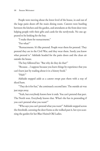People were moving about the lower level of the house, in and out of the large patio doors off the main dining room. Caterers were bustling between the kitchen and the garden, and attendants at the front door were helping people with their gifts and cards for the newlyweds. No one appeared to be looking for the boy.

"I make them for reenactments."

"For what?"

"Reenactments. It's like pretend. People wear them for pretend. They pretend they are in the Civil War, and they wear them. Surely you know what pretend is." Adelaide headed for the patio doors and the clean air outside the house.

The boy followed her. "But why do they do that?"

"Because…I suppose because you learn things by experience that you can't learn just by reading about it in a history book."

"Huh?"

Adelaide stepped aside as a caterer swept past them with a tray of sliced ham.

"They do it for fun," she continued a second later. The outside air was just steps away.

"Yeah, but everybody knows how it ends. You can't pretend that part. The North won. Everybody knows that. What's the fun in pretending if you can't pretend what you want?"

"Who says you can't pretend what you want?" Adelaide stepped across the threshold, caressing the door frame as she walked past it, her eyes scanning the garden for her Blue-Haired Old Ladies.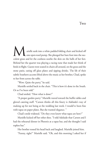#### Two

arielle sank into a white padded folding chair and kicked off one open-toed pump. She plunged her bare foot into the succulent grass and let the coolness soothe the skin on the balls of her feet. Behind her the quartet was playing a racing tune that made her think of birds in flight. Guests were seated in chairs all around, on the grass and the stone patio, eating off glass plates and sipping drinks. The lilt of their subtle Southern accents lifted above the music as her brother, Chad, spoke to her from across the table.

"Wow. Quite the party," he said.

Marielle settled back in the chair. "This is how it's done in the South. Or so I've been told."

Chad smiled. "How what is done?"

"A proper garden party." Marielle waved toward the buffet tables and gloved catering staff. "Carson thinks all this finery is Adelaide's way of making up for not being at the wedding last week. I would've been fine with tapas on paper plates. But she wanted elegance."

Chad's smile widened. "Do they even know what tapas are here?"

Marielle kicked off her other shoe. "I told Adelaide that Carson and I had the rehearsal dinner in Phoenix at a tapas bar, and she thought I said topless bar."

Her brother tossed his head back and laughed. Marielle joined him.

"Funny, right?" Marielle said. "Oh, and this morning I asked her if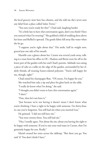the local grocery store here has cilantro, and she told me she's never seen any label from a place called Salon Trowe."

"You sure you're ready for this?" Chad said, laughing harder.

"It's a little late to have *that* conversation again, don't you think? Have you noticed what I'm wearing?" She grabbed a fold of wedding dress above her knee and fluffed it upward. The gentle fabric fell away like water when she let go.

"I suppose you're right about that." His smile, half its weight now, graced just one side of his mouth.

Marielle cast a glance about her. Carson was several yards away, talking to a man from his office in DC. Hudson and Brette were far off in the lower part of the garden with her and Chad's parents. Adelaide was eating a piece of cake at a table on the edge of the garden, surrounded by her elderly friends, all wearing Easter-colored polyester. "You're still happy for me, though, right?"

Chad raised his champagne flute. "Of course, I'm happy for you." She watched him take a sip and place his glass back on the table.

"I really do know what I'm doing," she said.

"I thought you didn't want to have this conversation again."

"I don't"

"Fine, then let's not have it."

"Just because we're not having it doesn't mean I don't know what you're thinking. I have a right to be happy with someone. I'm thirty-four, in case you've forgotten. You still had zits when you married Lisa."

He grinned. "I did not still have zits."

"You were twenty-three. You still had zits."

"Hey, I totally agree. Not about the zits; about you having the right to be happy with someone. If you've met your soul mate in Carson, then I'm genuinely happy for you. Really."

Mariel crossed her arms across the tabletop. "But there you go. You said 'if.' You don't think I have."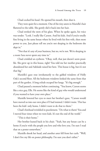Chad cocked his head. He opened his mouth, then shut it.

They were quiet for a moment. One of the tiny asters in Marielle's hair fluttered to the table. She gently slid it back into her hair.

Chad stroked the stem of his glass. When he spoke again, his voice was tender. "Look. I really like Carson. And his kids. And if you're totally fine living in the same house where he lived with his first wife, then more power to you. Just please tell me you're not sleeping in the bedroom she slept in."

"Not that it's any of your business, but no, we're not. We're sleeping in a room Sara never spent any time in."

Chad crinkled an eyebrow. "Okay, well, that just doesn't seem possible. She grew up in this house, right? You told me her mother practically abandoned her and Adelaide raised her here. This house is big, but it's not that big."

Marielle's gaze rose involuntarily to the gabled windows of Holly Oak's second floor. All the bedroom windows looked the same from that part of the garden. A long exhale escaped her lungs. "It's big enough."

Chad paused a moment before continuing. "You know, Carson seems like a nice guy, Elle. He seems like the kind of guy who would understand if you wanted to have your own place."

Marielle lowered her eyes to meet her brother's gaze, "Carson would have moved us into our own place if I had insisted. I didn't insist. This has been the kids' only home. I didn't want to do that to them."

Chad's forehead wrinkled in puzzlement. "Do what to them? You and I moved four times when we were kids. It's not the end of the world."

"This is their home."

Her brother leaned back in his chair. "Yeah, but any house can be a home if you're with the people you love and who love you. I'm sure I read that on a poster somewhere."

Marielle shook her head, and another aster fell from her curls. "Well, I don't live my life on poster philosophy. I'm sure you don't either."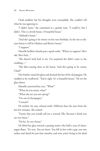Chad nodded, but his thoughts were unreadable. She couldn't tell what he was agreeing to.

"I didn't insist," she continued in a gentler tone. "I could've, but I didn't. This is a lovely house. A beautiful house."

"Adelaide's house."

"And she's going to be ninety on her next birthday. In the not so distant future it will be Hudson and Brette's house."

"I suppose."

Marielle huffed a breath past a quick smile. "What's to suppose? She's old. She's frail…"

"She doesn't look frail to me. I'm surprised she didn't come to the wedding—"

"She likes staying close to the house. And she's going to be *ninety,*  Chad!"

Her brother raised his glass and drained the last of his champagne. He nodded as he swallowed. "You're right. It's a beautiful house." He set the glass down.

Marielle narrowed her eyes. "What?"

"What do you mean, what?"

"What else are you not saying?"

"I'm out of champagne."

"Coward."

He smiled. An easy, relaxed smile. Different than the ones from the last few minutes. She waited.

"Funny that you would call me a coward, Elle. Because I think you are very brave."

"Ha ha. So very funny."

He lifted his glass toward a passing waiter who held a tray of champagne flutes. "It's true. You are brave. You fell in love with a guy you met online and dated for just four months, and now you're living in his dead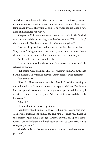wife's house with the grandmother who raised her and mothering her children, and you've moved far away from the desert and everything that's familiar. And you're okay with all of it." The waiter handed Chad a new glass, and he saluted her with it.

The gesture felt like an unexpected jab from a trusted ally. She flinched from surprise and the tender sting of her brother's candor. "That was low," she murmured. "You'd say that to a girl in her wedding dress?"

Chad set the glass down and reached across the table for her hands. "Hey, I wasn't being sarcastic. I meant every word. You are brave. Braver than me. I'm in awe, actually. It's a compliment, Elle. I promise you."

"Yeah, well, that's not what it felt like—"

"I'm totally serious. I'm the coward. And you're the brave one." He released her hands.

"Tell that to Mom and Dad. That's not what they think. Or my friends back in Phoenix. They think I married Carson because I was desperate."

"No, they don't."

"They do. They just won't say it. But they do. I see Mom looking at me and looking at Carson and these two stepgrandchildren I've thrown into her lap, and I know she worries I'd grown desperate and that's why I married Carson. And I'm pretty sure Adelaide thinks it too, and she barely knows me."

"Marielle."

He waited until she looked up at him.

"You know what I think?" he asked. "I think you need to stop wondering what everyone else thinks. You love him. He loves you. That's all that matters, right? Love is enough. I *know* I saw that on a poster somewhere. Love and cilantro. I will make sure to send you some seeds so you can grow your own."

Marielle smiled as the tense moment evaporated. "And serrano peppers, too."